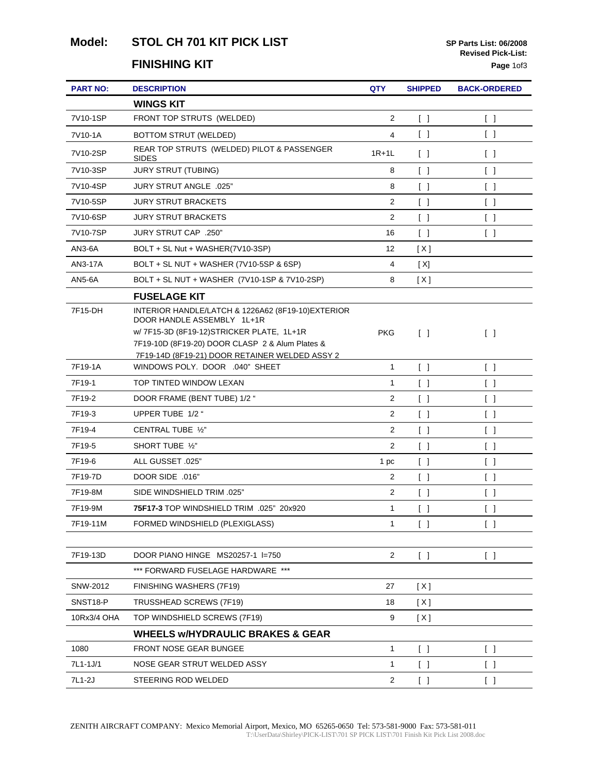# Model: STOL CH 701 KIT PICK LIST **SP Parts List: 06/2008**

#### **FINISHING KIT** Page 10f3

| <b>PART NO:</b> | <b>DESCRIPTION</b>                                                               | QTY            | <b>SHIPPED</b>                    | <b>BACK-ORDERED</b>               |
|-----------------|----------------------------------------------------------------------------------|----------------|-----------------------------------|-----------------------------------|
|                 | <b>WINGS KIT</b>                                                                 |                |                                   |                                   |
| 7V10-1SP        | FRONT TOP STRUTS (WELDED)                                                        | 2              | $\begin{bmatrix} \end{bmatrix}$   | $\begin{bmatrix} \end{bmatrix}$   |
| 7V10-1A         | <b>BOTTOM STRUT (WELDED)</b>                                                     | 4              | $\begin{bmatrix} \end{bmatrix}$   | $\begin{bmatrix} \end{bmatrix}$   |
| 7V10-2SP        | REAR TOP STRUTS (WELDED) PILOT & PASSENGER<br><b>SIDES</b>                       | $1R+1L$        | $\begin{bmatrix} \end{bmatrix}$   | $\begin{bmatrix} \end{bmatrix}$   |
| 7V10-3SP        | <b>JURY STRUT (TUBING)</b>                                                       | 8              | $\begin{bmatrix} \end{bmatrix}$   | $\begin{bmatrix} \end{bmatrix}$   |
| 7V10-4SP        | <b>JURY STRUT ANGLE .025"</b>                                                    | 8              | $\begin{bmatrix} \end{bmatrix}$   | $\begin{bmatrix} 1 \end{bmatrix}$ |
| 7V10-5SP        | <b>JURY STRUT BRACKETS</b>                                                       | 2              | $\begin{bmatrix} 1 \end{bmatrix}$ | $\begin{bmatrix} \end{bmatrix}$   |
| 7V10-6SP        | <b>JURY STRUT BRACKETS</b>                                                       | 2              | $\begin{bmatrix} \end{bmatrix}$   | $\begin{bmatrix} \end{bmatrix}$   |
| 7V10-7SP        | JURY STRUT CAP .250"                                                             | 16             | $\begin{bmatrix} \end{bmatrix}$   | $\begin{bmatrix} \end{bmatrix}$   |
| AN3-6A          | BOLT + SL Nut + WASHER(7V10-3SP)                                                 | 12             | [X]                               |                                   |
| AN3-17A         | BOLT + SL NUT + WASHER (7V10-5SP & 6SP)                                          | 4              | [X]                               |                                   |
| AN5-6A          | BOLT + SL NUT + WASHER (7V10-1SP & 7V10-2SP)                                     | 8              | [X]                               |                                   |
|                 | <b>FUSELAGE KIT</b>                                                              |                |                                   |                                   |
| 7F15-DH         | INTERIOR HANDLE/LATCH & 1226A62 (8F19-10)EXTERIOR<br>DOOR HANDLE ASSEMBLY 1L+1R  |                |                                   |                                   |
|                 | w/ 7F15-3D (8F19-12) STRICKER PLATE, 1L+1R                                       | <b>PKG</b>     | $\begin{bmatrix} \end{bmatrix}$   | $\Box$                            |
|                 | 7F19-10D (8F19-20) DOOR CLASP 2 & Alum Plates &                                  |                |                                   |                                   |
| 7F19-1A         | 7F19-14D (8F19-21) DOOR RETAINER WELDED ASSY 2<br>WINDOWS POLY. DOOR .040" SHEET | $\mathbf{1}$   | $\lceil \; \rceil$                | $\begin{bmatrix} 1 \end{bmatrix}$ |
| 7F19-1          | TOP TINTED WINDOW LEXAN                                                          | 1              | $\begin{bmatrix} 1 \end{bmatrix}$ | $\begin{bmatrix} 1 \end{bmatrix}$ |
| 7F19-2          | DOOR FRAME (BENT TUBE) 1/2 "                                                     | 2              | $\begin{bmatrix} \end{bmatrix}$   | $\begin{bmatrix} \end{bmatrix}$   |
| 7F19-3          | UPPER TUBE 1/2 "                                                                 | $\mathbf{2}$   | $\lceil \; \rceil$                | $\begin{bmatrix} \end{bmatrix}$   |
| 7F19-4          | CENTRAL TUBE 1/2"                                                                | $\overline{2}$ | $\begin{bmatrix} 1 \end{bmatrix}$ | $\begin{bmatrix} \end{bmatrix}$   |
| 7F19-5          | SHORT TUBE 1/2"                                                                  | 2              | $\begin{bmatrix} \end{bmatrix}$   | $\begin{bmatrix} \end{bmatrix}$   |
| 7F19-6          | ALL GUSSET .025"                                                                 | 1 pc           | $\begin{bmatrix} \end{bmatrix}$   | $\begin{bmatrix} \end{bmatrix}$   |
| 7F19-7D         | DOOR SIDE .016"                                                                  | 2              | $\begin{bmatrix} 1 \end{bmatrix}$ | $\begin{bmatrix} 1 \end{bmatrix}$ |
| 7F19-8M         | SIDE WINDSHIELD TRIM .025"                                                       | 2              | $\begin{bmatrix} \end{bmatrix}$   | $\begin{bmatrix} \end{bmatrix}$   |
| 7F19-9M         | 75F17-3 TOP WINDSHIELD TRIM .025" 20x920                                         | 1              | $\begin{bmatrix} \end{bmatrix}$   | $\begin{bmatrix} \end{bmatrix}$   |
| 7F19-11M        | FORMED WINDSHIELD (PLEXIGLASS)                                                   | $\mathbf{1}$   | $\begin{bmatrix} \end{bmatrix}$   | $\begin{bmatrix} \end{bmatrix}$   |
|                 |                                                                                  |                |                                   |                                   |
| 7F19-13D        | DOOR PIANO HINGE MS20257-1 I=750                                                 | 2              | $\begin{bmatrix} \end{bmatrix}$   | $\begin{bmatrix} 1 \end{bmatrix}$ |
|                 | *** FORWARD FUSELAGE HARDWARE ***                                                |                |                                   |                                   |
| SNW-2012        | FINISHING WASHERS (7F19)                                                         | 27             | [ X ]                             |                                   |
| SNST18-P        | TRUSSHEAD SCREWS (7F19)                                                          | 18             | [X]                               |                                   |
| 10Rx3/4 OHA     | TOP WINDSHIELD SCREWS (7F19)                                                     | 9              | [X]                               |                                   |
|                 | <b>WHEELS W/HYDRAULIC BRAKES &amp; GEAR</b>                                      |                |                                   |                                   |
| 1080            | FRONT NOSE GEAR BUNGEE                                                           | $\mathbf{1}$   | $\begin{bmatrix} \end{bmatrix}$   | $\begin{bmatrix} \end{bmatrix}$   |
| 7L1-1J/1        | NOSE GEAR STRUT WELDED ASSY                                                      | 1              | $\begin{bmatrix} 1 \end{bmatrix}$ | $\begin{bmatrix} \end{bmatrix}$   |
| 7L1-2J          | STEERING ROD WELDED                                                              | $\overline{2}$ | $\begin{bmatrix} 1 \end{bmatrix}$ | $\begin{bmatrix} 1 \end{bmatrix}$ |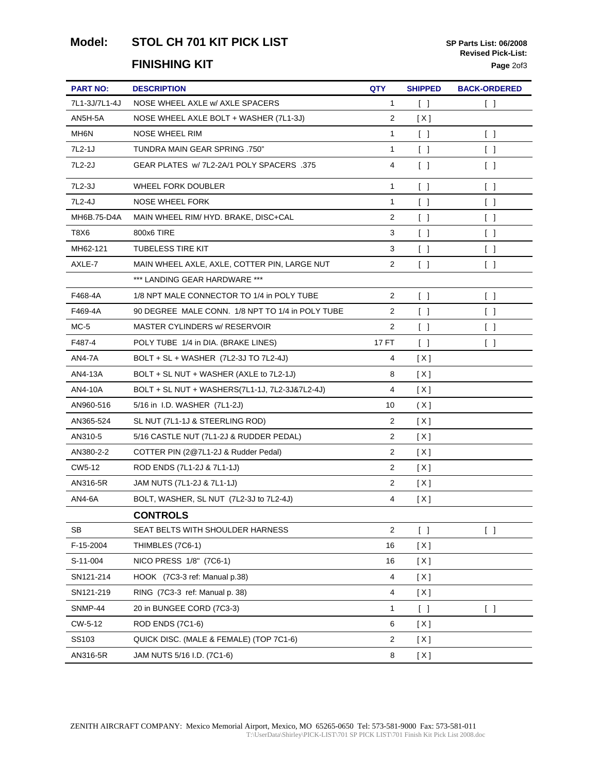#### Model: STOL CH 701 KIT PICK LIST **SP Parts List: 06/2008**

#### **FINISHING KIT** Page 20f3

| <b>PART NO:</b>   | <b>DESCRIPTION</b>                               | QTY            | <b>SHIPPED</b>                    | <b>BACK-ORDERED</b>               |
|-------------------|--------------------------------------------------|----------------|-----------------------------------|-----------------------------------|
| 7L1-3J/7L1-4J     | NOSE WHEEL AXLE W/ AXLE SPACERS                  | 1              | $\begin{bmatrix} \end{bmatrix}$   | $\begin{bmatrix} \end{bmatrix}$   |
| AN5H-5A           | NOSE WHEEL AXLE BOLT + WASHER (7L1-3J)           | $\overline{2}$ | [X]                               |                                   |
| MH <sub>6</sub> N | NOSE WHEEL RIM                                   | 1              | $\begin{bmatrix} \end{bmatrix}$   | $\begin{bmatrix} \end{bmatrix}$   |
| 7L2-1J            | TUNDRA MAIN GEAR SPRING .750"                    | 1              | $\begin{bmatrix} \end{bmatrix}$   | $\begin{bmatrix} \end{bmatrix}$   |
| 7L2-2J            | GEAR PLATES W/ 7L2-2A/1 POLY SPACERS .375        | 4              | $\begin{bmatrix} \end{bmatrix}$   | $\begin{bmatrix} \end{bmatrix}$   |
| 7L2-3J            | <b>WHEEL FORK DOUBLER</b>                        | 1              | $\begin{bmatrix} \end{bmatrix}$   | $\begin{bmatrix} \end{bmatrix}$   |
| 7L2-4J            | <b>NOSE WHEEL FORK</b>                           | 1              | $\begin{bmatrix} \end{bmatrix}$   | $\begin{bmatrix} \end{bmatrix}$   |
| MH6B.75-D4A       | MAIN WHEEL RIM/ HYD. BRAKE, DISC+CAL             | $\overline{2}$ | $\begin{bmatrix} \end{bmatrix}$   | $\begin{bmatrix} \end{bmatrix}$   |
| T8X6              | 800x6 TIRE                                       | 3              | $\begin{bmatrix} \end{bmatrix}$   | $\begin{bmatrix} \end{bmatrix}$   |
| MH62-121          | <b>TUBELESS TIRE KIT</b>                         | 3              | $\begin{bmatrix} \end{bmatrix}$   | $\begin{bmatrix} \end{bmatrix}$   |
| AXLE-7            | MAIN WHEEL AXLE, AXLE, COTTER PIN, LARGE NUT     | 2              | $\begin{bmatrix} \end{bmatrix}$   | $\begin{bmatrix} \end{bmatrix}$   |
|                   | *** LANDING GEAR HARDWARE ***                    |                |                                   |                                   |
| F468-4A           | 1/8 NPT MALE CONNECTOR TO 1/4 in POLY TUBE       | 2              | $\begin{bmatrix} \end{bmatrix}$   | $\begin{bmatrix} \end{bmatrix}$   |
| F469-4A           | 90 DEGREE MALE CONN. 1/8 NPT TO 1/4 in POLY TUBE | 2              | $\begin{bmatrix} 1 \end{bmatrix}$ | $\begin{bmatrix} \end{bmatrix}$   |
| $MC-5$            | MASTER CYLINDERS w/ RESERVOIR                    | 2              | $\begin{bmatrix} \end{bmatrix}$   | $\begin{bmatrix} \end{bmatrix}$   |
| F487-4            | POLY TUBE 1/4 in DIA. (BRAKE LINES)              | 17 FT          | $\begin{bmatrix} 1 \end{bmatrix}$ | $\begin{bmatrix} \end{bmatrix}$   |
| AN4-7A            | BOLT + SL + WASHER (7L2-3J TO 7L2-4J)            | 4              | [X]                               |                                   |
| AN4-13A           | BOLT + SL NUT + WASHER (AXLE to 7L2-1J)          | 8              | [ X ]                             |                                   |
| AN4-10A           | BOLT + SL NUT + WASHERS(7L1-1J, 7L2-3J&7L2-4J)   | 4              | [X]                               |                                   |
| AN960-516         | 5/16 in I.D. WASHER (7L1-2J)                     | 10             | (X)                               |                                   |
| AN365-524         | SL NUT (7L1-1J & STEERLING ROD)                  | 2              | [X]                               |                                   |
| AN310-5           | 5/16 CASTLE NUT (7L1-2J & RUDDER PEDAL)          | 2              | [X]                               |                                   |
| AN380-2-2         | COTTER PIN (2@7L1-2J & Rudder Pedal)             | $\overline{2}$ | [X]                               |                                   |
| CW5-12            | ROD ENDS (7L1-2J & 7L1-1J)                       | $\overline{2}$ | [ X ]                             |                                   |
| AN316-5R          | JAM NUTS (7L1-2J & 7L1-1J)                       | $\overline{c}$ | [X]                               |                                   |
| AN4-6A            | BOLT, WASHER, SL NUT (7L2-3J to 7L2-4J)          | 4              | [X]                               |                                   |
|                   | <b>CONTROLS</b>                                  |                |                                   |                                   |
| SВ                | SEAT BELTS WITH SHOULDER HARNESS                 | $\overline{2}$ | $\begin{bmatrix} 1 \end{bmatrix}$ | $\begin{bmatrix} 1 \end{bmatrix}$ |
| F-15-2004         | THIMBLES (7C6-1)                                 | 16             | [X]                               |                                   |
| S-11-004          | NICO PRESS 1/8" (7C6-1)                          | 16             | [ X ]                             |                                   |
| SN121-214         | HOOK (7C3-3 ref: Manual p.38)                    | 4              | [X]                               |                                   |
| SN121-219         | RING (7C3-3 ref: Manual p. 38)                   | 4              | [X]                               |                                   |
| SNMP-44           | 20 in BUNGEE CORD (7C3-3)                        | 1              | $\begin{bmatrix} \end{bmatrix}$   | $\begin{bmatrix} 1 \end{bmatrix}$ |
| CW-5-12           | ROD ENDS (7C1-6)                                 | 6              | [X]                               |                                   |
| SS103             | QUICK DISC. (MALE & FEMALE) (TOP 7C1-6)          | $\overline{a}$ | [X]                               |                                   |
| AN316-5R          | JAM NUTS 5/16 I.D. (7C1-6)                       | 8              | [X]                               |                                   |